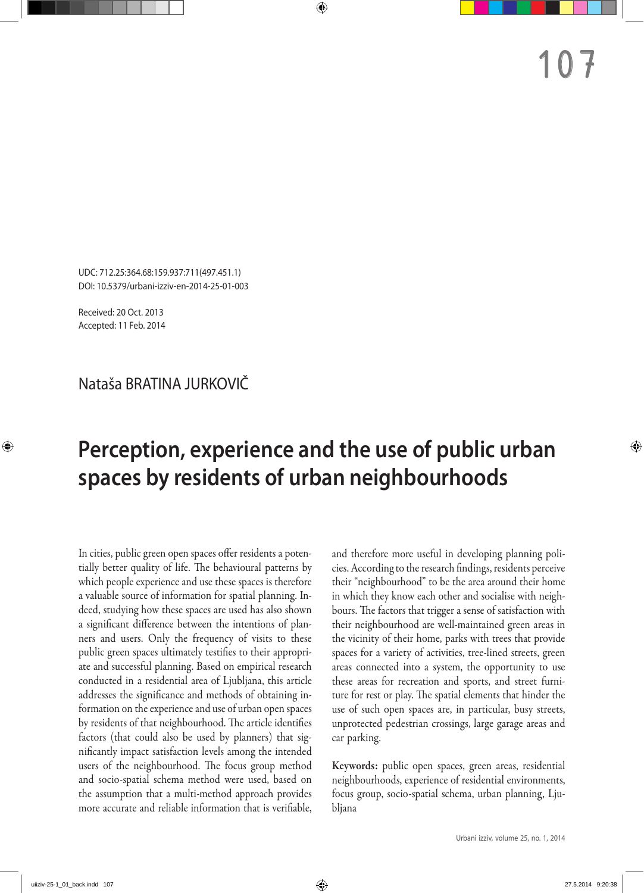UDC: 712.25:364.68:159.937:711(497.451.1) DOI: 10.5379/urbani-izziv-en-2014-25-01-003

Received: 20 Oct. 2013 Accepted: 11 Feb. 2014

# Nataša BRATINA JURKOVIČ

# **Perception, experience and the use of public urban spaces by residents of urban neighbourhoods**

In cities, public green open spaces offer residents a potentially better quality of life. The behavioural patterns by which people experience and use these spaces is therefore a valuable source of information for spatial planning. Indeed, studying how these spaces are used has also shown a significant difference between the intentions of planners and users. Only the frequency of visits to these public green spaces ultimately testifies to their appropriate and successful planning. Based on empirical research conducted in a residential area of Ljubljana, this article addresses the significance and methods of obtaining information on the experience and use of urban open spaces by residents of that neighbourhood. The article identifies factors (that could also be used by planners) that significantly impact satisfaction levels among the intended users of the neighbourhood. The focus group method and socio‑spatial schema method were used, based on the assumption that a multi‑method approach provides more accurate and reliable information that is verifiable, and therefore more useful in developing planning policies. According to the research findings, residents perceive their "neighbourhood" to be the area around their home in which they know each other and socialise with neighbours. The factors that trigger a sense of satisfaction with their neighbourhood are well‑maintained green areas in the vicinity of their home, parks with trees that provide spaces for a variety of activities, tree-lined streets, green areas connected into a system, the opportunity to use these areas for recreation and sports, and street furniture for rest or play. The spatial elements that hinder the use of such open spaces are, in particular, busy streets, unprotected pedestrian crossings, large garage areas and car parking.

Keywords: public open spaces, green areas, residential neighbourhoods, experience of residential environments, focus group, socio-spatial schema, urban planning, Ljubljana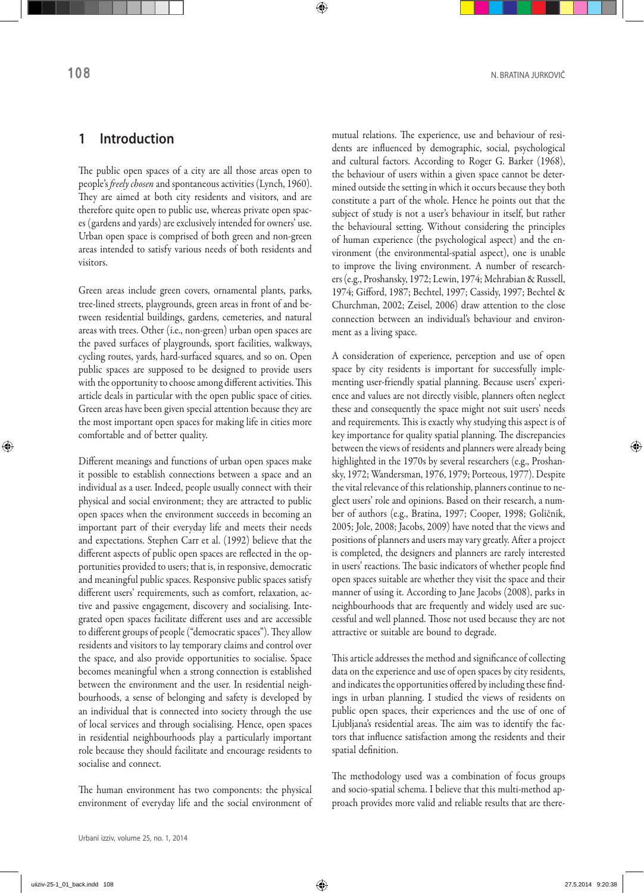### **1 Introduction**

The public open spaces of a city are all those areas open to people's *freely chosen* and spontaneous activities (Lynch, 1960). They are aimed at both city residents and visitors, and are therefore quite open to public use, whereas private open spaces (gardens and yards) are exclusively intended for owners' use. Urban open space is comprised of both green and non‑green areas intended to satisfy various needs of both residents and visitors.

Green areas include green covers, ornamental plants, parks, tree-lined streets, playgrounds, green areas in front of and between residential buildings, gardens, cemeteries, and natural areas with trees. Other (i.e., non‑green) urban open spaces are the paved surfaces of playgrounds, sport facilities, walkways, cycling routes, yards, hard‑surfaced squares, and so on. Open public spaces are supposed to be designed to provide users with the opportunity to choose among different activities. This article deals in particular with the open public space of cities. Green areas have been given special attention because they are the most important open spaces for making life in cities more comfortable and of better quality.

Different meanings and functions of urban open spaces make it possible to establish connections between a space and an individual as a user. Indeed, people usually connect with their physical and social environment; they are attracted to public open spaces when the environment succeeds in becoming an important part of their everyday life and meets their needs and expectations. Stephen Carr et al. (1992) believe that the different aspects of public open spaces are reflected in the opportunities provided to users; that is, in responsive, democratic and meaningful public spaces. Responsive public spaces satisfy different users' requirements, such as comfort, relaxation, active and passive engagement, discovery and socialising. Integrated open spaces facilitate different uses and are accessible to different groups of people ("democratic spaces"). They allow residents and visitors to lay temporary claims and control over the space, and also provide opportunities to socialise. Space becomes meaningful when a strong connection is established between the environment and the user. In residential neighbourhoods, a sense of belonging and safety is developed by an individual that is connected into society through the use of local services and through socialising. Hence, open spaces in residential neighbourhoods play a particularly important role because they should facilitate and encourage residents to socialise and connect.

The human environment has two components: the physical environment of everyday life and the social environment of mutual relations. The experience, use and behaviour of residents are influenced by demographic, social, psychological and cultural factors. According to Roger G. Barker (1968), the behaviour of users within a given space cannot be determined outside the setting in which it occurs because they both constitute a part of the whole. Hence he points out that the subject of study is not a user's behaviour in itself, but rather the behavioural setting. Without considering the principles of human experience (the psychological aspect) and the environment (the environmental-spatial aspect), one is unable to improve the living environment. A number of researchers (e.g., Proshansky, 1972; Lewin, 1974; Mehrabian & Russell, 1974; Gifford, 1987; Bechtel, 1997; Cassidy, 1997; Bechtel & Churchman, 2002; Zeisel, 2006) draw attention to the close connection between an individual's behaviour and environment as a living space.

A consideration of experience, perception and use of open space by city residents is important for successfully implementing user-friendly spatial planning. Because users' experience and values are not directly visible, planners often neglect these and consequently the space might not suit users' needs and requirements. This is exactly why studying this aspect is of key importance for quality spatial planning. The discrepancies between the views of residents and planners were already being highlighted in the 1970s by several researchers (e.g., Proshansky, 1972; Wandersman, 1976, 1979; Porteous, 1977). Despite the vital relevance of this relationship, planners continue to ne‑ glect users' role and opinions. Based on their research, a number of authors (e.g., Bratina, 1997; Cooper, 1998; Goličnik, 2005; Jole, 2008; Jacobs, 2009) have noted that the views and positions of planners and users may vary greatly. After a project is completed, the designers and planners are rarely interested in users' reactions. The basic indicators of whether people find open spaces suitable are whether they visit the space and their manner of using it. According to Jane Jacobs (2008), parks in neighbourhoods that are frequently and widely used are successful and well planned. Those not used because they are not attractive or suitable are bound to degrade.

This article addresses the method and significance of collecting data on the experience and use of open spaces by city residents, and indicates the opportunities offered by including these findings in urban planning. I studied the views of residents on public open spaces, their experiences and the use of one of Ljubljana's residential areas. The aim was to identify the factors that influence satisfaction among the residents and their spatial definition.

The methodology used was a combination of focus groups and socio-spatial schema. I believe that this multi-method approach provides more valid and reliable results that are there-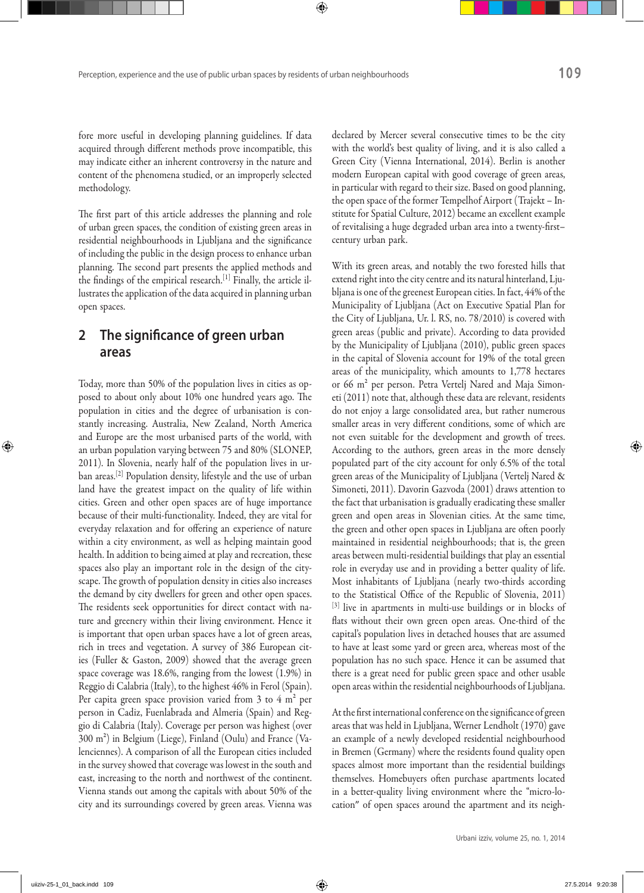fore more useful in developing planning guidelines. If data acquired through different methods prove incompatible, this may indicate either an inherent controversy in the nature and content of the phenomena studied, or an improperly selected methodology.

The first part of this article addresses the planning and role of urban green spaces, the condition of existing green areas in residential neighbourhoods in Ljubljana and the significance of including the public in the design process to enhance urban planning. The second part presents the applied methods and the findings of the empirical research.<sup>[1]</sup> Finally, the article illustrates the application of the data acquired in planning urban open spaces.

### **2 The significance of green urban areas**

Today, more than 50% of the population lives in cities as opposed to about only about 10% one hundred years ago. The population in cities and the degree of urbanisation is constantly increasing. Australia, New Zealand, North America and Europe are the most urbanised parts of the world, with an urban population varying between 75 and 80% (SLONEP, 2011). In Slovenia, nearly half of the population lives in urban areas.[2] Population density, lifestyle and the use of urban land have the greatest impact on the quality of life within cities. Green and other open spaces are of huge importance because of their multi-functionality. Indeed, they are vital for everyday relaxation and for offering an experience of nature within a city environment, as well as helping maintain good health. In addition to being aimed at play and recreation, these spaces also play an important role in the design of the cityscape. The growth of population density in cities also increases the demand by city dwellers for green and other open spaces. The residents seek opportunities for direct contact with nature and greenery within their living environment. Hence it is important that open urban spaces have a lot of green areas, rich in trees and vegetation. A survey of 386 European cities (Fuller & Gaston, 2009) showed that the average green space coverage was 18.6%, ranging from the lowest (1.9%) in Reggio di Calabria (Italy), to the highest 46% in Ferol (Spain). Per capita green space provision varied from 3 to 4  $m<sup>2</sup>$  per person in Cadiz, Fuenlabrada and Almeria (Spain) and Reggio di Calabria (Italy). Coverage per person was highest (over 300 m²) in Belgium (Liege), Finland (Oulu) and France (Va‑ lenciennes). A comparison of all the European cities included in the survey showed that coverage was lowest in the south and east, increasing to the north and northwest of the continent. Vienna stands out among the capitals with about 50% of the city and its surroundings covered by green areas. Vienna was declared by Mercer several consecutive times to be the city with the world's best quality of living, and it is also called a Green City (Vienna International, 2014). Berlin is another modern European capital with good coverage of green areas, in particular with regard to their size. Based on good planning, the open space of the former Tempelhof Airport (Trajekt - Institute for Spatial Culture, 2012) became an excellent example of revitalising a huge degraded urban area into a twenty‑first– century urban park.

With its green areas, and notably the two forested hills that extend right into the city centre and its natural hinterland, Ljubljana is one of the greenest European cities. In fact, 44% of the Municipality of Ljubljana (Act on Executive Spatial Plan for the City of Ljubljana, Ur. l. RS, no. 78/2010) is covered with green areas (public and private). According to data provided by the Municipality of Ljubljana (2010), public green spaces in the capital of Slovenia account for 19% of the total green areas of the municipality, which amounts to 1,778 hectares or 66 m<sup>2</sup> per person. Petra Vertelj Nared and Maja Simoneti (2011) note that, although these data are relevant, residents do not enjoy a large consolidated area, but rather numerous smaller areas in very different conditions, some of which are not even suitable for the development and growth of trees. According to the authors, green areas in the more densely populated part of the city account for only 6.5% of the total green areas of the Municipality of Ljubljana (Vertelj Nared & Simoneti, 2011). Davorin Gazvoda (2001) draws attention to the fact that urbanisation is gradually eradicating these smaller green and open areas in Slovenian cities. At the same time, the green and other open spaces in Ljubljana are often poorly maintained in residential neighbourhoods; that is, the green areas between multi‑residential buildings that play an essential role in everyday use and in providing a better quality of life. Most inhabitants of Ljubljana (nearly two-thirds according to the Statistical Office of the Republic of Slovenia, 2011) [3] live in apartments in multi-use buildings or in blocks of flats without their own green open areas. One-third of the capital's population lives in detached houses that are assumed to have at least some yard or green area, whereas most of the population has no such space. Hence it can be assumed that there is a great need for public green space and other usable open areas within the residential neighbourhoods of Ljubljana.

At the first international conference on the significance of green areas that was held in Ljubljana, Werner Lendholt (1970) gave an example of a newly developed residential neighbourhood in Bremen (Germany) where the residents found quality open spaces almost more important than the residential buildings themselves. Homebuyers often purchase apartments located in a better-quality living environment where the "micro-location" of open spaces around the apartment and its neigh-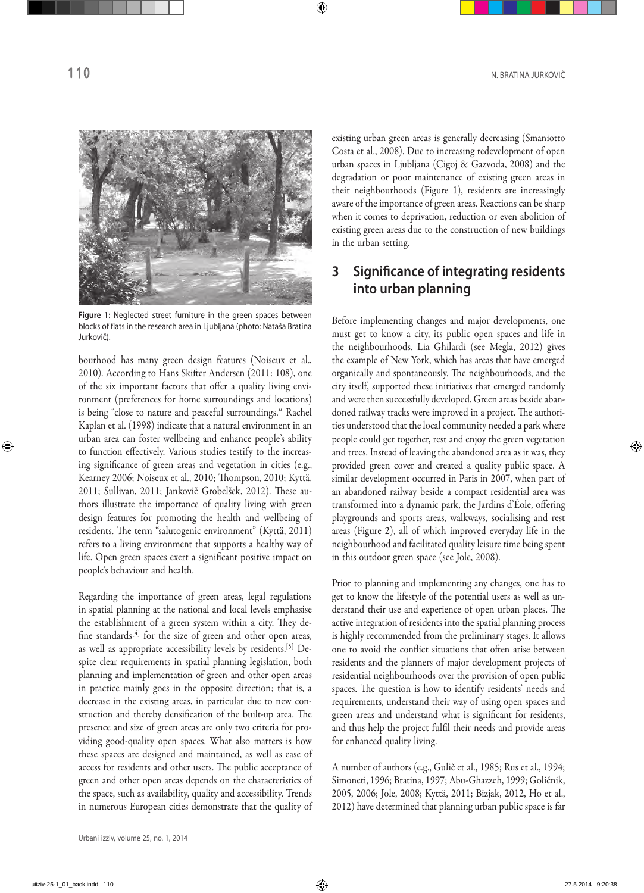

**Figure 1:** Neglected street furniture in the green spaces between blocks of flats in the research area in Ljubljana (photo: Nataša Bratina Jurkovič).

bourhood has many green design features (Noiseux et al., 2010). According to Hans Skifter Andersen (2011: 108), one of the six important factors that offer a quality living environment (preferences for home surroundings and locations) is being "close to nature and peaceful surroundings." Rachel Kaplan et al. (1998) indicate that a natural environment in an urban area can foster wellbeing and enhance people's ability to function effectively. Various studies testify to the increasing significance of green areas and vegetation in cities (e.g., Kearney 2006; Noiseux et al., 2010; Thompson, 2010; Kyttä, 2011; Sullivan, 2011; Jankovič Grobelšek, 2012). These au‑ thors illustrate the importance of quality living with green design features for promoting the health and wellbeing of residents. The term "salutogenic environment" (Kyttä, 2011) refers to a living environment that supports a healthy way of life. Open green spaces exert a significant positive impact on people's behaviour and health.

Regarding the importance of green areas, legal regulations in spatial planning at the national and local levels emphasise the establishment of a green system within a city. They define standards $[4]$  for the size of green and other open areas, as well as appropriate accessibility levels by residents.<sup>[5]</sup> Despite clear requirements in spatial planning legislation, both planning and implementation of green and other open areas in practice mainly goes in the opposite direction; that is, a decrease in the existing areas, in particular due to new construction and thereby densification of the built‑up area. The presence and size of green areas are only two criteria for providing good‑quality open spaces. What also matters is how these spaces are designed and maintained, as well as ease of access for residents and other users. The public acceptance of green and other open areas depends on the characteristics of the space, such as availability, quality and accessibility. Trends in numerous European cities demonstrate that the quality of existing urban green areas is generally decreasing (Smaniotto Costa et al., 2008). Due to increasing redevelopment of open urban spaces in Ljubljana (Cigoj & Gazvoda, 2008) and the degradation or poor maintenance of existing green areas in their neighbourhoods (Figure 1), residents are increasingly aware of the importance of green areas. Reactions can be sharp when it comes to deprivation, reduction or even abolition of existing green areas due to the construction of new buildings in the urban setting.

## **3 Significance of integrating residents into urban planning**

Before implementing changes and major developments, one must get to know a city, its public open spaces and life in the neighbourhoods. Lia Ghilardi (see Megla, 2012) gives the example of New York, which has areas that have emerged organically and spontaneously. The neighbourhoods, and the city itself, supported these initiatives that emerged randomly and were then successfully developed. Green areas beside abandoned railway tracks were improved in a project. The authorities understood that the local community needed a park where people could get together, rest and enjoy the green vegetation and trees. Instead of leaving the abandoned area as it was, they provided green cover and created a quality public space. A similar development occurred in Paris in 2007, when part of an abandoned railway beside a compact residential area was transformed into a dynamic park, the Jardins d'Éole, offering playgrounds and sports areas, walkways, socialising and rest areas (Figure 2), all of which improved everyday life in the neighbourhood and facilitated quality leisure time being spent in this outdoor green space (see Jole, 2008).

Prior to planning and implementing any changes, one has to get to know the lifestyle of the potential users as well as understand their use and experience of open urban places. The active integration of residents into the spatial planning process is highly recommended from the preliminary stages. It allows one to avoid the conflict situations that often arise between residents and the planners of major development projects of residential neighbourhoods over the provision of open public spaces. The question is how to identify residents' needs and requirements, understand their way of using open spaces and green areas and understand what is significant for residents, and thus help the project fulfil their needs and provide areas for enhanced quality living.

A number of authors (e.g., Gulič et al., 1985; Rus et al., 1994; Simoneti, 1996; Bratina, 1997; Abu‑Ghazzeh, 1999; Goličnik, 2005, 2006; Jole, 2008; Kyttä, 2011; Bizjak, 2012, Ho et al., 2012) have determined that planning urban public space is far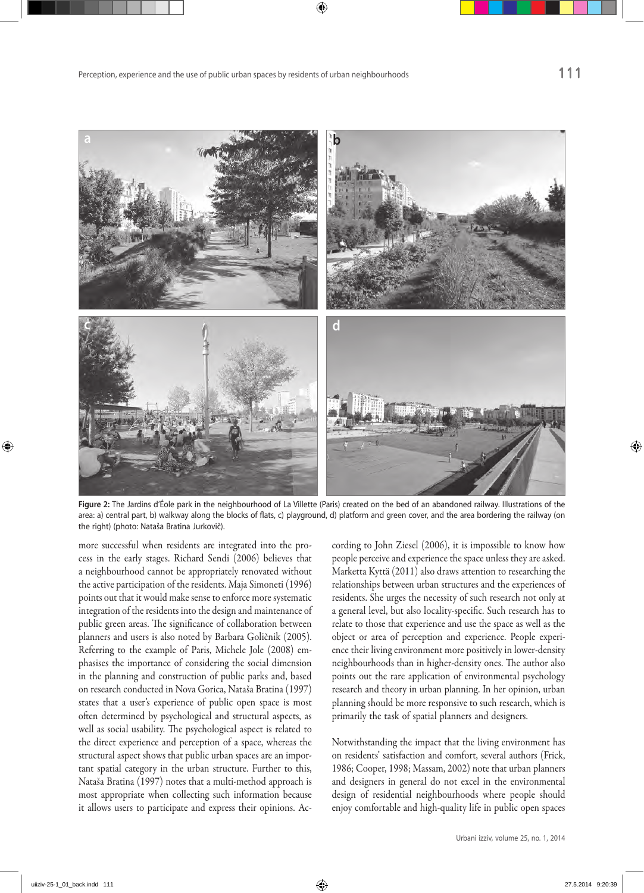

**Figure 2:** The Jardins d'Éole park in the neighbourhood of La Villette (Paris) created on the bed of an abandoned railway. Illustrations of the area: a) central part, b) walkway along the blocks of flats, c) playground, d) platform and green cover, and the area bordering the railway (on the right) (photo: Nataša Bratina Jurkovič).

more successful when residents are integrated into the process in the early stages. Richard Sendi (2006) believes that a neighbourhood cannot be appropriately renovated without the active participation of the residents. Maja Simoneti (1996) points out that it would make sense to enforce more systematic integration of the residents into the design and maintenance of public green areas. The significance of collaboration between planners and users is also noted by Barbara Goličnik (2005). Referring to the example of Paris, Michele Jole (2008) emphasises the importance of considering the social dimension in the planning and construction of public parks and, based on research conducted in Nova Gorica, Nataša Bratina (1997) states that a user's experience of public open space is most often determined by psychological and structural aspects, as well as social usability. The psychological aspect is related to the direct experience and perception of a space, whereas the structural aspect shows that public urban spaces are an important spatial category in the urban structure. Further to this, Nataša Bratina (1997) notes that a multi‑method approach is most appropriate when collecting such information because it allows users to participate and express their opinions. According to John Ziesel (2006), it is impossible to know how people perceive and experience the space unless they are asked. Marketta Kyttä (2011) also draws attention to researching the relationships between urban structures and the experiences of residents. She urges the necessity of such research not only at a general level, but also locality‑specific. Such research has to relate to those that experience and use the space as well as the object or area of perception and experience. People experience their living environment more positively in lower-density neighbourhoods than in higher-density ones. The author also points out the rare application of environmental psychology research and theory in urban planning. In her opinion, urban planning should be more responsive to such research, which is primarily the task of spatial planners and designers.

Notwithstanding the impact that the living environment has on residents' satisfaction and comfort, several authors (Frick, 1986; Cooper, 1998; Massam, 2002) note that urban planners and designers in general do not excel in the environmental design of residential neighbourhoods where people should enjoy comfortable and high-quality life in public open spaces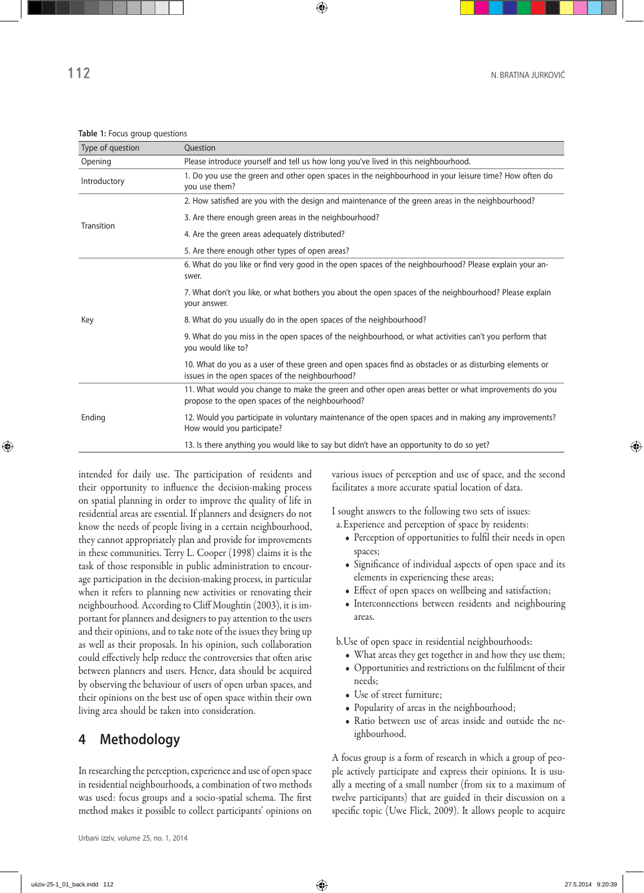| Type of question | Question                                                                                                                                                   |  |
|------------------|------------------------------------------------------------------------------------------------------------------------------------------------------------|--|
| Opening          | Please introduce yourself and tell us how long you've lived in this neighbourhood.                                                                         |  |
| Introductory     | 1. Do you use the green and other open spaces in the neighbourhood in your leisure time? How often do<br>you use them?                                     |  |
| Transition       | 2. How satisfied are you with the design and maintenance of the green areas in the neighbourhood?                                                          |  |
|                  | 3. Are there enough green areas in the neighbourhood?                                                                                                      |  |
|                  | 4. Are the green areas adequately distributed?                                                                                                             |  |
|                  | 5. Are there enough other types of open areas?                                                                                                             |  |
| Key              | 6. What do you like or find very good in the open spaces of the neighbourhood? Please explain your an-<br>swer.                                            |  |
|                  | 7. What don't you like, or what bothers you about the open spaces of the neighbourhood? Please explain<br>your answer.                                     |  |
|                  | 8. What do you usually do in the open spaces of the neighbourhood?                                                                                         |  |
|                  | 9. What do you miss in the open spaces of the neighbourhood, or what activities can't you perform that<br>you would like to?                               |  |
|                  | 10. What do you as a user of these green and open spaces find as obstacles or as disturbing elements or<br>issues in the open spaces of the neighbourhood? |  |
| Ending           | 11. What would you change to make the green and other open areas better or what improvements do you<br>propose to the open spaces of the neighbourhood?    |  |
|                  | 12. Would you participate in voluntary maintenance of the open spaces and in making any improvements?<br>How would you participate?                        |  |
|                  | 13. Is there anything you would like to say but didn't have an opportunity to do so yet?                                                                   |  |

**Table 1:** Focus group questions

intended for daily use. The participation of residents and their opportunity to influence the decision-making process on spatial planning in order to improve the quality of life in residential areas are essential. If planners and designers do not know the needs of people living in a certain neighbourhood, they cannot appropriately plan and provide for improvements in these communities. Terry L. Cooper (1998) claims it is the task of those responsible in public administration to encourage participation in the decision-making process, in particular when it refers to planning new activities or renovating their neighbourhood. According to Cliff Moughtin (2003), it is im‑ portant for planners and designers to pay attention to the users and their opinions, and to take note of the issues they bring up as well as their proposals. In his opinion, such collaboration could effectively help reduce the controversies that often arise between planners and users. Hence, data should be acquired by observing the behaviour of users of open urban spaces, and their opinions on the best use of open space within their own living area should be taken into consideration.

# **4 Methodology**

In researching the perception, experience and use of open space in residential neighbourhoods, a combination of two methods was used: focus groups and a socio‑spatial schema. The first method makes it possible to collect participants' opinions on

various issues of perception and use of space, and the second facilitates a more accurate spatial location of data.

I sought answers to the following two sets of issues: a.Experience and perception of space by residents:

- Perception of opportunities to fulfil their needs in open spaces;
- Significance of individual aspects of open space and its elements in experiencing these areas;
- Effect of open spaces on wellbeing and satisfaction;
- Interconnections between residents and neighbouring areas.
- b.Use of open space in residential neighbourhoods:
	- What areas they get together in and how they use them;
	- • Opportunities and restrictions on the fulfilment of their needs;
	- Use of street furniture;
	- Popularity of areas in the neighbourhood;
	- Ratio between use of areas inside and outside the neighbourhood.

A focus group is a form of research in which a group of peo‑ ple actively participate and express their opinions. It is usually a meeting of a small number (from six to a maximum of twelve participants) that are guided in their discussion on a specific topic (Uwe Flick, 2009). It allows people to acquire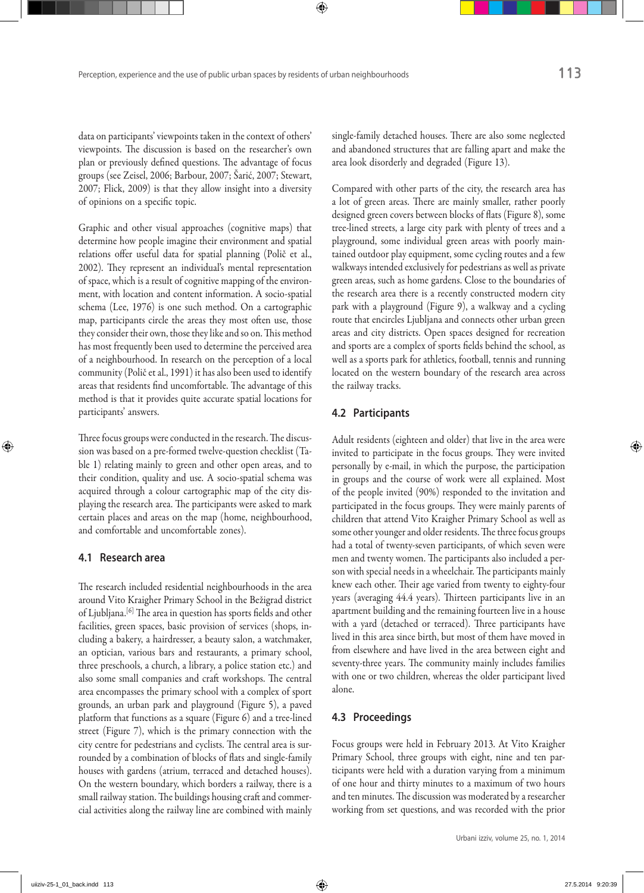data on participants' viewpoints taken in the context of others' viewpoints. The discussion is based on the researcher's own plan or previously defined questions. The advantage of focus groups (see Zeisel, 2006; Barbour, 2007; Šarić, 2007; Stewart, 2007; Flick, 2009) is that they allow insight into a diversity of opinions on a specific topic.

Graphic and other visual approaches (cognitive maps) that determine how people imagine their environment and spatial relations offer useful data for spatial planning (Polič et al., 2002). They represent an individual's mental representation of space, which is a result of cognitive mapping of the environment, with location and content information. A socio‑spatial schema (Lee, 1976) is one such method. On a cartographic map, participants circle the areas they most often use, those they consider their own, those they like and so on. This method has most frequently been used to determine the perceived area of a neighbourhood. In research on the perception of a local community (Polič et al., 1991) it has also been used to identify areas that residents find uncomfortable. The advantage of this method is that it provides quite accurate spatial locations for participants' answers.

Three focus groups were conducted in the research. The discussion was based on a pre-formed twelve-question checklist (Table 1) relating mainly to green and other open areas, and to their condition, quality and use. A socio‑spatial schema was acquired through a colour cartographic map of the city displaying the research area. The participants were asked to mark certain places and areas on the map (home, neighbourhood, and comfortable and uncomfortable zones).

### **4.1 Research area**

The research included residential neighbourhoods in the area around Vito Kraigher Primary School in the Bežigrad district of Ljubljana.[6] The area in question has sports fields and other facilities, green spaces, basic provision of services (shops, including a bakery, a hairdresser, a beauty salon, a watchmaker, an optician, various bars and restaurants, a primary school, three preschools, a church, a library, a police station etc.) and also some small companies and craft workshops. The central area encompasses the primary school with a complex of sport grounds, an urban park and playground (Figure 5), a paved platform that functions as a square (Figure 6) and a tree-lined street (Figure 7), which is the primary connection with the city centre for pedestrians and cyclists. The central area is surrounded by a combination of blocks of flats and single-family houses with gardens (atrium, terraced and detached houses). On the western boundary, which borders a railway, there is a small railway station. The buildings housing craft and commercial activities along the railway line are combined with mainly

single-family detached houses. There are also some neglected and abandoned structures that are falling apart and make the area look disorderly and degraded (Figure 13).

Compared with other parts of the city, the research area has a lot of green areas. There are mainly smaller, rather poorly designed green covers between blocks of flats (Figure 8), some tree‑lined streets, a large city park with plenty of trees and a playground, some individual green areas with poorly maintained outdoor play equipment, some cycling routes and a few walkways intended exclusively for pedestrians as well as private green areas, such as home gardens. Close to the boundaries of the research area there is a recently constructed modern city park with a playground (Figure 9), a walkway and a cycling route that encircles Ljubljana and connects other urban green areas and city districts. Open spaces designed for recreation and sports are a complex of sports fields behind the school, as well as a sports park for athletics, football, tennis and running located on the western boundary of the research area across the railway tracks.

#### **4.2 Participants**

Adult residents (eighteen and older) that live in the area were invited to participate in the focus groups. They were invited personally by e‑mail, in which the purpose, the participation in groups and the course of work were all explained. Most of the people invited (90%) responded to the invitation and participated in the focus groups. They were mainly parents of children that attend Vito Kraigher Primary School as well as some other younger and older residents. The three focus groups had a total of twenty-seven participants, of which seven were men and twenty women. The participants also included a person with special needs in a wheelchair. The participants mainly knew each other. Their age varied from twenty to eighty-four years (averaging 44.4 years). Thirteen participants live in an apartment building and the remaining fourteen live in a house with a yard (detached or terraced). Three participants have lived in this area since birth, but most of them have moved in from elsewhere and have lived in the area between eight and seventy-three years. The community mainly includes families with one or two children, whereas the older participant lived alone.

#### **4.3 Proceedings**

Focus groups were held in February 2013. At Vito Kraigher Primary School, three groups with eight, nine and ten participants were held with a duration varying from a minimum of one hour and thirty minutes to a maximum of two hours and ten minutes. The discussion was moderated by a researcher working from set questions, and was recorded with the prior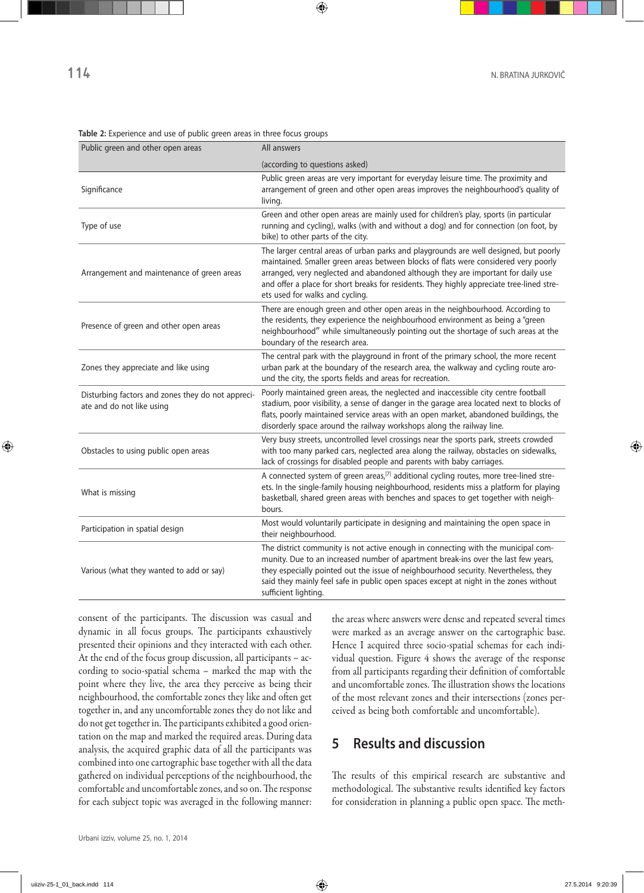| Public green and other open areas                                              | All answers                                                                                                                                                                                                                                                                                                                                                                                      |
|--------------------------------------------------------------------------------|--------------------------------------------------------------------------------------------------------------------------------------------------------------------------------------------------------------------------------------------------------------------------------------------------------------------------------------------------------------------------------------------------|
|                                                                                | (according to questions asked)                                                                                                                                                                                                                                                                                                                                                                   |
| Significance                                                                   | Public green areas are very important for everyday leisure time. The proximity and<br>arrangement of green and other open areas improves the neighbourhood's quality of<br>living.                                                                                                                                                                                                               |
| Type of use                                                                    | Green and other open areas are mainly used for children's play, sports (in particular<br>running and cycling), walks (with and without a dog) and for connection (on foot, by<br>bike) to other parts of the city.                                                                                                                                                                               |
| Arrangement and maintenance of green areas                                     | The larger central areas of urban parks and playgrounds are well designed, but poorly<br>maintained. Smaller green areas between blocks of flats were considered very poorly<br>arranged, very neglected and abandoned although they are important for daily use<br>and offer a place for short breaks for residents. They highly appreciate tree-lined stre-<br>ets used for walks and cycling. |
| Presence of green and other open areas                                         | There are enough green and other open areas in the neighbourhood. According to<br>the residents, they experience the neighbourhood environment as being a "green<br>neighbourhood" while simultaneously pointing out the shortage of such areas at the<br>boundary of the research area.                                                                                                         |
| Zones they appreciate and like using                                           | The central park with the playground in front of the primary school, the more recent<br>urban park at the boundary of the research area, the walkway and cycling route aro-<br>und the city, the sports fields and areas for recreation.                                                                                                                                                         |
| Disturbing factors and zones they do not appreci-<br>ate and do not like using | Poorly maintained green areas, the neglected and inaccessible city centre football<br>stadium, poor visibility, a sense of danger in the garage area located next to blocks of<br>flats, poorly maintained service areas with an open market, abandoned buildings, the<br>disorderly space around the railway workshops along the railway line.                                                  |
| Obstacles to using public open areas                                           | Very busy streets, uncontrolled level crossings near the sports park, streets crowded<br>with too many parked cars, neglected area along the railway, obstacles on sidewalks,<br>lack of crossings for disabled people and parents with baby carriages.                                                                                                                                          |
| What is missing                                                                | A connected system of green areas, <sup>[7]</sup> additional cycling routes, more tree-lined stre-<br>ets. In the single-family housing neighbourhood, residents miss a platform for playing<br>basketball, shared green areas with benches and spaces to get together with neigh-<br>bours.                                                                                                     |
| Participation in spatial design                                                | Most would voluntarily participate in designing and maintaining the open space in<br>their neighbourhood.                                                                                                                                                                                                                                                                                        |
| Various (what they wanted to add or say)                                       | The district community is not active enough in connecting with the municipal com-<br>munity. Due to an increased number of apartment break-ins over the last few years,<br>they especially pointed out the issue of neighbourhood security. Nevertheless, they<br>said they mainly feel safe in public open spaces except at night in the zones without<br>sufficient lighting.                  |

#### **Table 2:** Experience and use of public green areas in three focus groups

consent of the participants. The discussion was casual and dynamic in all focus groups. The participants exhaustively presented their opinions and they interacted with each other. At the end of the focus group discussion, all participants - according to socio‑spatial schema – marked the map with the point where they live, the area they perceive as being their neighbourhood, the comfortable zones they like and often get together in, and any uncomfortable zones they do not like and do not get together in. The participants exhibited a good orientation on the map and marked the required areas. During data analysis, the acquired graphic data of all the participants was combined into one cartographic base together with all the data gathered on individual perceptions of the neighbourhood, the comfortable and uncomfortable zones, and so on. The response for each subject topic was averaged in the following manner:

the areas where answers were dense and repeated several times were marked as an average answer on the cartographic base. Hence I acquired three socio-spatial schemas for each individual question. Figure 4 shows the average of the response from all participants regarding their definition of comfortable and uncomfortable zones. The illustration shows the locations of the most relevant zones and their intersections (zones per‑ ceived as being both comfortable and uncomfortable).

### **5 Results and discussion**

The results of this empirical research are substantive and methodological. The substantive results identified key factors for consideration in planning a public open space. The meth-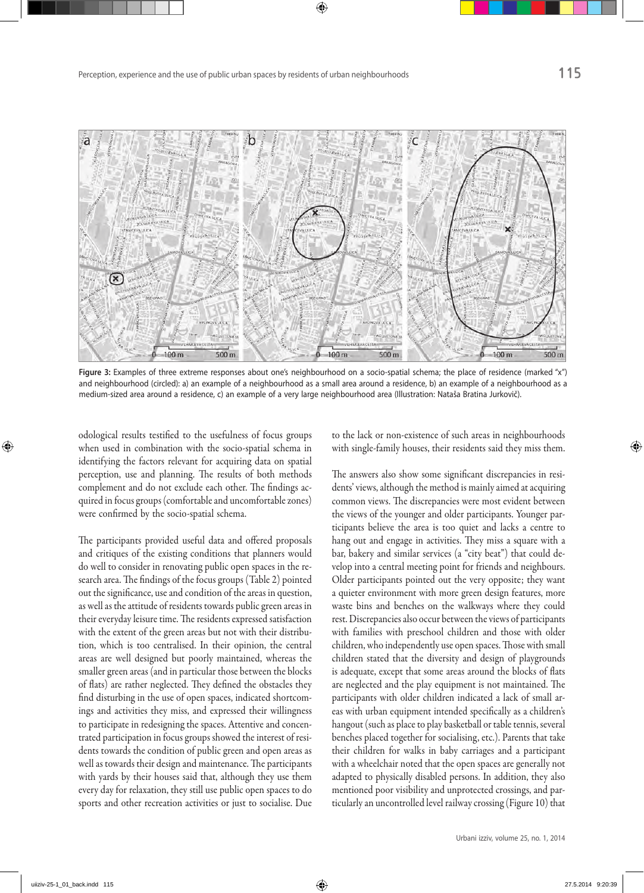

Figure 3: Examples of three extreme responses about one's neighbourhood on a socio-spatial schema; the place of residence (marked "x") and neighbourhood (circled): a) an example of a neighbourhood as a small area around a residence, b) an example of a neighbourhood as a medium-sized area around a residence, c) an example of a very large neighbourhood area (Illustration: Nataša Bratina Jurkovič).

odological results testified to the usefulness of focus groups when used in combination with the socio-spatial schema in identifying the factors relevant for acquiring data on spatial perception, use and planning. The results of both methods complement and do not exclude each other. The findings acquired in focus groups (comfortable and uncomfortable zones) were confirmed by the socio-spatial schema.

The participants provided useful data and offered proposals and critiques of the existing conditions that planners would do well to consider in renovating public open spaces in the re‑ search area. The findings of the focus groups (Table 2) pointed out the significance, use and condition of the areas in question, as well as the attitude of residents towards public green areas in their everyday leisure time. The residents expressed satisfaction with the extent of the green areas but not with their distribution, which is too centralised. In their opinion, the central areas are well designed but poorly maintained, whereas the smaller green areas (and in particular those between the blocks of flats) are rather neglected. They defined the obstacles they find disturbing in the use of open spaces, indicated shortcomings and activities they miss, and expressed their willingness to participate in redesigning the spaces. Attentive and concentrated participation in focus groups showed the interest of residents towards the condition of public green and open areas as well as towards their design and maintenance. The participants with yards by their houses said that, although they use them every day for relaxation, they still use public open spaces to do sports and other recreation activities or just to socialise. Due

to the lack or non‑existence of such areas in neighbourhoods with single-family houses, their residents said they miss them.

The answers also show some significant discrepancies in residents' views, although the method is mainly aimed at acquiring common views. The discrepancies were most evident between the views of the younger and older participants. Younger participants believe the area is too quiet and lacks a centre to hang out and engage in activities. They miss a square with a bar, bakery and similar services (a "city beat") that could develop into a central meeting point for friends and neighbours. Older participants pointed out the very opposite; they want a quieter environment with more green design features, more waste bins and benches on the walkways where they could rest. Discrepancies also occur between the views of participants with families with preschool children and those with older children, who independently use open spaces. Those with small children stated that the diversity and design of playgrounds is adequate, except that some areas around the blocks of flats are neglected and the play equipment is not maintained. The participants with older children indicated a lack of small areas with urban equipment intended specifically as a children's hangout (such as place to play basketball or table tennis, several benches placed together for socialising, etc.). Parents that take their children for walks in baby carriages and a participant with a wheelchair noted that the open spaces are generally not adapted to physically disabled persons. In addition, they also mentioned poor visibility and unprotected crossings, and particularly an uncontrolled level railway crossing (Figure 10) that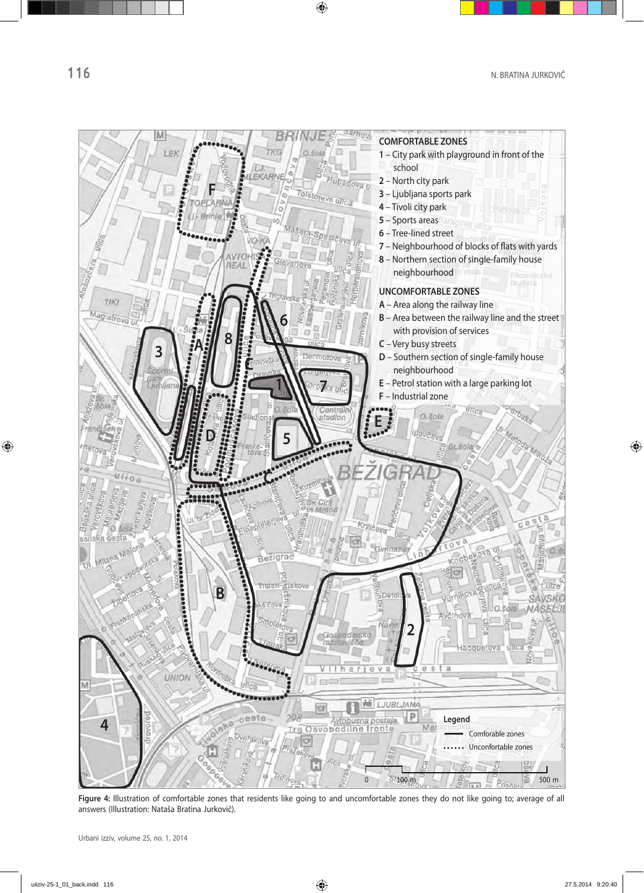

Figure 4: Illustration of comfortable zones that residents like going to and uncomfortable zones they do not like going to; average of all answers (Illustration: Nataša Bratina Jurkovič).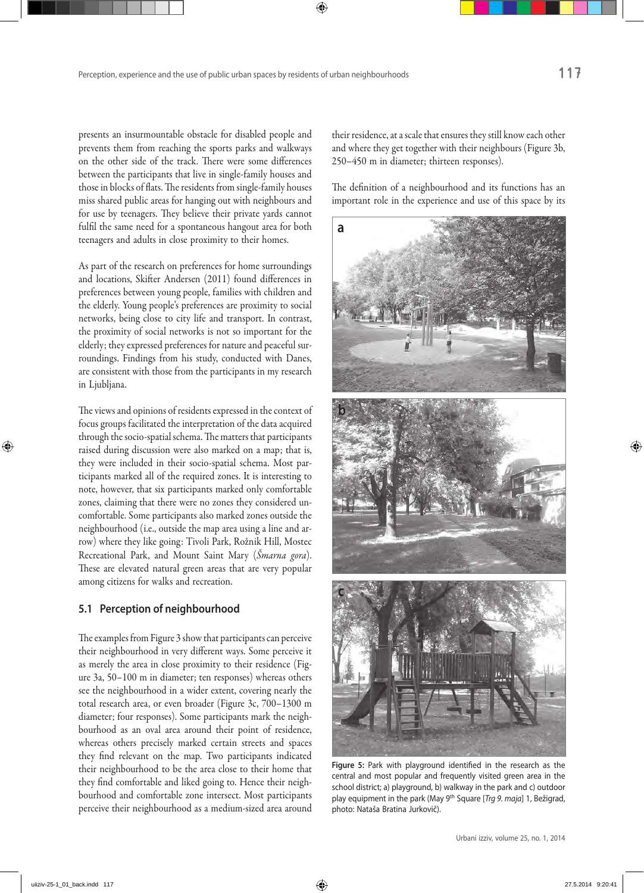presents an insurmountable obstacle for disabled people and prevents them from reaching the sports parks and walkways on the other side of the track. There were some differences between the participants that live in single-family houses and those in blocks of flats. The residents from single-family houses miss shared public areas for hanging out with neighbours and for use by teenagers. They believe their private yards cannot fulfil the same need for a spontaneous hangout area for both teenagers and adults in close proximity to their homes.

As part of the research on preferences for home surroundings and locations, Skifter Andersen (2011) found differences in preferences between young people, families with children and the elderly. Young people's preferences are proximity to social networks, being close to city life and transport. In contrast, the proximity of social networks is not so important for the elderly; they expressed preferences for nature and peaceful surroundings. Findings from his study, conducted with Danes, are consistent with those from the participants in my research in Ljubljana.

The views and opinions of residents expressed in the context of focus groups facilitated the interpretation of the data acquired through the socio‑spatial schema. The matters that participants raised during discussion were also marked on a map; that is, they were included in their socio-spatial schema. Most participants marked all of the required zones. It is interesting to note, however, that six participants marked only comfortable zones, claiming that there were no zones they considered uncomfortable. Some participants also marked zones outside the neighbourhood (i.e., outside the map area using a line and arrow) where they like going: Tivoli Park, Rožnik Hill, Mostec Recreational Park, and Mount Saint Mary (*Šmarna gora*). These are elevated natural green areas that are very popular among citizens for walks and recreation.

### **5.1 Perception of neighbourhood**

The examples from Figure 3 show that participants can perceive their neighbourhood in very different ways. Some perceive it as merely the area in close proximity to their residence (Figure 3a, 50–100 m in diameter; ten responses) whereas others see the neighbourhood in a wider extent, covering nearly the total research area, or even broader (Figure 3c, 700–1300 m diameter; four responses). Some participants mark the neighbourhood as an oval area around their point of residence, whereas others precisely marked certain streets and spaces they find relevant on the map. Two participants indicated their neighbourhood to be the area close to their home that they find comfortable and liked going to. Hence their neighbourhood and comfortable zone intersect. Most participants perceive their neighbourhood as a medium‑sized area around their residence, at a scale that ensures they still know each other and where they get together with their neighbours (Figure 3b, 250–450 m in diameter; thirteen responses).

The definition of a neighbourhood and its functions has an important role in the experience and use of this space by its



**Figure 5:** Park with playground identified in the research as the central and most popular and frequently visited green area in the school district; a) playground, b) walkway in the park and c) outdoor play equipment in the park (May 9th Square [*Trg 9. maja*] 1, Bežigrad, photo: Nataša Bratina Jurkovič).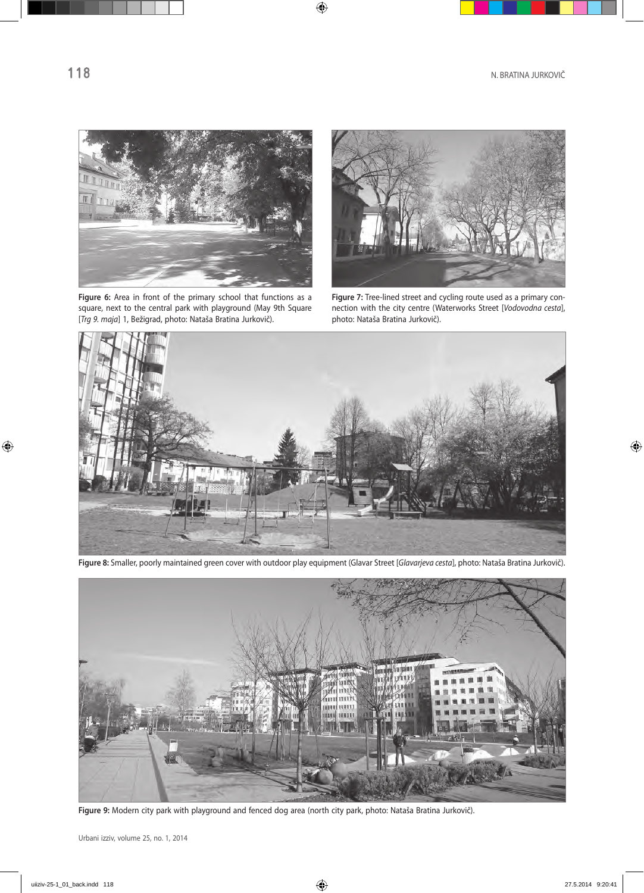

Figure 6: Area in front of the primary school that functions as a square, next to the central park with playground (May 9th Square [*Trg 9. maja*] 1, Bežigrad, photo: Nataša Bratina Jurkovič).



**Figure 7:** Tree-lined street and cycling route used as a primary connection with the city centre (Waterworks Street [*Vodovodna cesta*], photo: Nataša Bratina Jurkovič).



**Figure 8:** Smaller, poorly maintained green cover with outdoor play equipment (Glavar Street [*Glavarjeva cesta*], photo: Nataša Bratina Jurkovič).



**Figure 9:** Modern city park with playground and fenced dog area (north city park, photo: Nataša Bratina Jurkovič).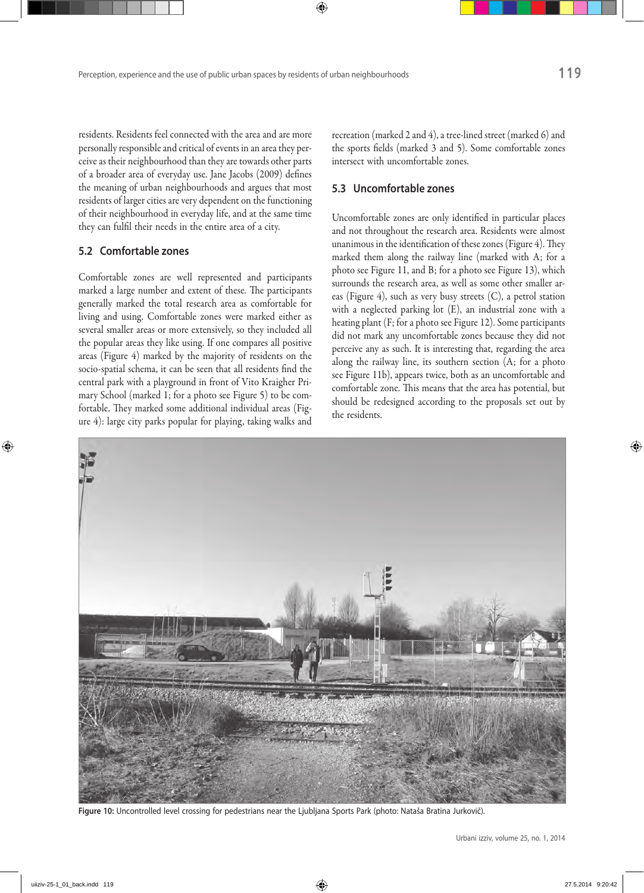residents. Residents feel connected with the area and are more personally responsible and critical of events in an area they per‑ ceive as their neighbourhood than they are towards other parts of a broader area of everyday use. Jane Jacobs (2009) defines the meaning of urban neighbourhoods and argues that most residents of larger cities are very dependent on the functioning of their neighbourhood in everyday life, and at the same time they can fulfil their needs in the entire area of a city.

### **5.2 Comfortable zones**

Comfortable zones are well represented and participants marked a large number and extent of these. The participants generally marked the total research area as comfortable for living and using. Comfortable zones were marked either as several smaller areas or more extensively, so they included all the popular areas they like using. If one compares all positive areas (Figure 4) marked by the majority of residents on the socio-spatial schema, it can be seen that all residents find the central park with a playground in front of Vito Kraigher Primary School (marked 1; for a photo see Figure 5) to be comfortable. They marked some additional individual areas (Figure 4): large city parks popular for playing, taking walks and

recreation (marked 2 and 4), a tree‑lined street (marked 6) and the sports fields (marked 3 and 5). Some comfortable zones intersect with uncomfortable zones.

### **5.3 Uncomfortable zones**

Uncomfortable zones are only identified in particular places and not throughout the research area. Residents were almost unanimous in the identification of these zones (Figure 4). They marked them along the railway line (marked with A; for a photo see Figure 11, and B; for a photo see Figure 13), which surrounds the research area, as well as some other smaller areas (Figure 4), such as very busy streets (C), a petrol station with a neglected parking lot (E), an industrial zone with a heating plant (F; for a photo see Figure 12). Some participants did not mark any uncomfortable zones because they did not perceive any as such. It is interesting that, regarding the area along the railway line, its southern section (A; for a photo see Figure 11b), appears twice, both as an uncomfortable and comfortable zone. This means that the area has potential, but should be redesigned according to the proposals set out by the residents.



**Figure 10:** Uncontrolled level crossing for pedestrians near the Ljubljana Sports Park (photo: Nataša Bratina Jurkovič).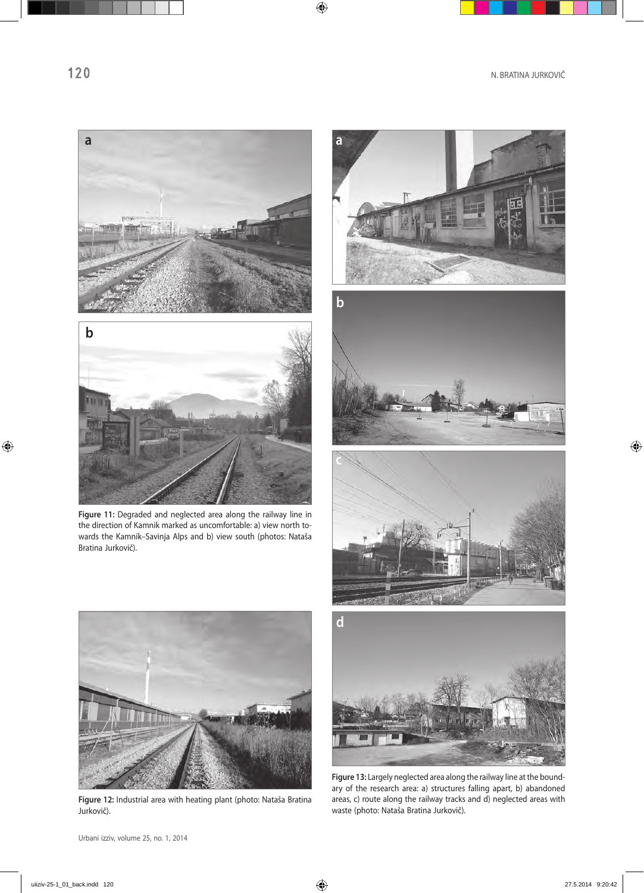



**Figure 11:** Degraded and neglected area along the railway line in the direction of Kamnik marked as uncomfortable: a) view north towards the Kamnik–Savinja Alps and b) view south (photos: Nataša Bratina Jurkovič).









**Figure 12:** Industrial area with heating plant (photo: Nataša Bratina Jurkovič).



**Figure 13:** Largely neglected area along the railway line at the boundary of the research area: a) structures falling apart, b) abandoned areas, c) route along the railway tracks and d) neglected areas with waste (photo: Nataša Bratina Jurkovič).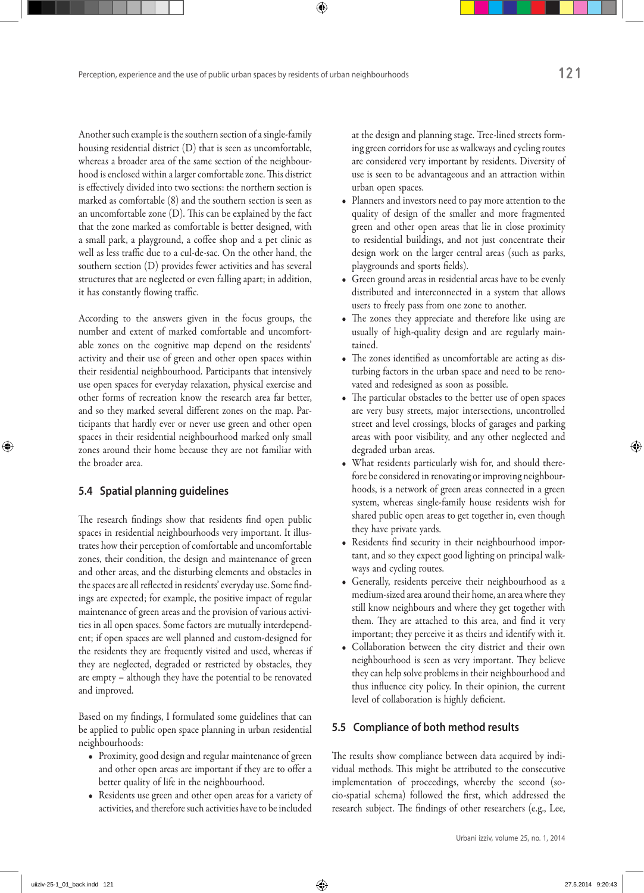Another such example is the southern section of a single-family housing residential district (D) that is seen as uncomfortable, whereas a broader area of the same section of the neighbourhood is enclosed within a larger comfortable zone. This district is effectively divided into two sections: the northern section is marked as comfortable (8) and the southern section is seen as an uncomfortable zone (D). This can be explained by the fact that the zone marked as comfortable is better designed, with a small park, a playground, a coffee shop and a pet clinic as well as less traffic due to a cul-de-sac. On the other hand, the southern section (D) provides fewer activities and has several structures that are neglected or even falling apart; in addition, it has constantly flowing traffic.

According to the answers given in the focus groups, the number and extent of marked comfortable and uncomfortable zones on the cognitive map depend on the residents' activity and their use of green and other open spaces within their residential neighbourhood. Participants that intensively use open spaces for everyday relaxation, physical exercise and other forms of recreation know the research area far better, and so they marked several different zones on the map. Participants that hardly ever or never use green and other open spaces in their residential neighbourhood marked only small zones around their home because they are not familiar with the broader area.

### **5.4 Spatial planning guidelines**

The research findings show that residents find open public spaces in residential neighbourhoods very important. It illustrates how their perception of comfortable and uncomfortable zones, their condition, the design and maintenance of green and other areas, and the disturbing elements and obstacles in the spaces are all reflected in residents' everyday use. Some findings are expected; for example, the positive impact of regular maintenance of green areas and the provision of various activities in all open spaces. Some factors are mutually interdependent; if open spaces are well planned and custom‑designed for the residents they are frequently visited and used, whereas if they are neglected, degraded or restricted by obstacles, they are empty – although they have the potential to be renovated and improved.

Based on my findings, I formulated some guidelines that can be applied to public open space planning in urban residential neighbourhoods:

- • Proximity, good design and regular maintenance of green and other open areas are important if they are to offer a better quality of life in the neighbourhood.
- • Residents use green and other open areas for a variety of activities, and therefore such activities have to be included

at the design and planning stage. Tree-lined streets forming green corridors for use as walkways and cycling routes are considered very important by residents. Diversity of use is seen to be advantageous and an attraction within urban open spaces.

- • Planners and investors need to pay more attention to the quality of design of the smaller and more fragmented green and other open areas that lie in close proximity to residential buildings, and not just concentrate their design work on the larger central areas (such as parks, playgrounds and sports fields).
- • Green ground areas in residential areas have to be evenly distributed and interconnected in a system that allows users to freely pass from one zone to another.
- • The zones they appreciate and therefore like using are usually of high-quality design and are regularly maintained.
- The zones identified as uncomfortable are acting as disturbing factors in the urban space and need to be renovated and redesigned as soon as possible.
- The particular obstacles to the better use of open spaces are very busy streets, major intersections, uncontrolled street and level crossings, blocks of garages and parking areas with poor visibility, and any other neglected and degraded urban areas.
- What residents particularly wish for, and should therefore be considered in renovating or improving neighbourhoods, is a network of green areas connected in a green system, whereas single-family house residents wish for shared public open areas to get together in, even though they have private yards.
- Residents find security in their neighbourhood important, and so they expect good lighting on principal walkways and cycling routes.
- Generally, residents perceive their neighbourhood as a medium‑sized area around their home, an area where they still know neighbours and where they get together with them. They are attached to this area, and find it very important; they perceive it as theirs and identify with it.
- • Collaboration between the city district and their own neighbourhood is seen as very important. They believe they can help solve problems in their neighbourhood and thus influence city policy. In their opinion, the current level of collaboration is highly deficient.

### **5.5 Compliance of both method results**

The results show compliance between data acquired by individual methods. This might be attributed to the consecutive implementation of proceedings, whereby the second (socio‑spatial schema) followed the first, which addressed the research subject. The findings of other researchers (e.g., Lee,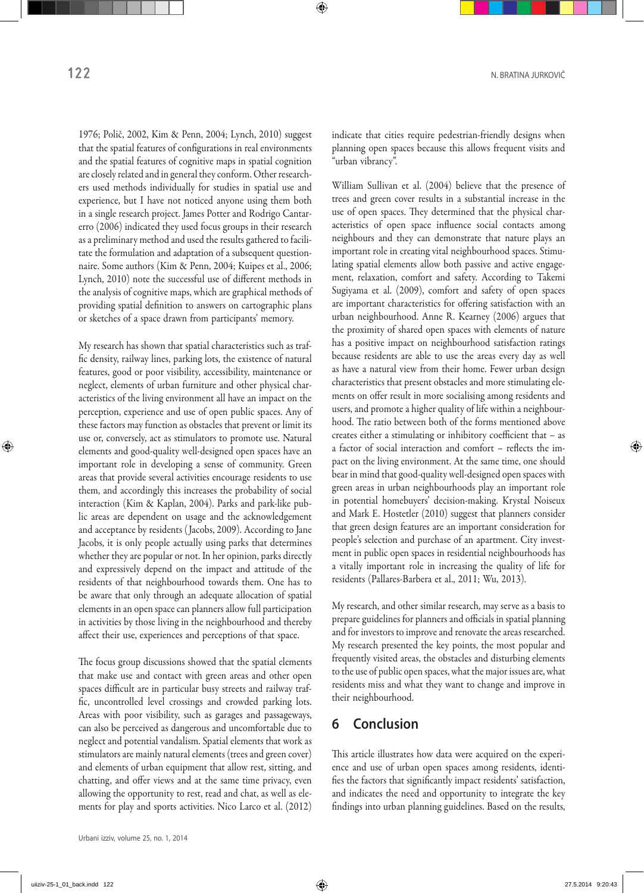1976; Polič, 2002, Kim & Penn, 2004; Lynch, 2010) suggest that the spatial features of configurations in real environments and the spatial features of cognitive maps in spatial cognition are closely related and in general they conform. Other researchers used methods individually for studies in spatial use and experience, but I have not noticed anyone using them both in a single research project. James Potter and Rodrigo Cantarerro (2006) indicated they used focus groups in their research as a preliminary method and used the results gathered to facilitate the formulation and adaptation of a subsequent questionnaire. Some authors (Kim & Penn, 2004; Kuipes et al., 2006; Lynch, 2010) note the successful use of different methods in the analysis of cognitive maps, which are graphical methods of providing spatial definition to answers on cartographic plans or sketches of a space drawn from participants' memory.

My research has shown that spatial characteristics such as traffic density, railway lines, parking lots, the existence of natural features, good or poor visibility, accessibility, maintenance or neglect, elements of urban furniture and other physical characteristics of the living environment all have an impact on the perception, experience and use of open public spaces. Any of these factors may function as obstacles that prevent or limit its use or, conversely, act as stimulators to promote use. Natural elements and good‑quality well‑designed open spaces have an important role in developing a sense of community. Green areas that provide several activities encourage residents to use them, and accordingly this increases the probability of social interaction (Kim & Kaplan, 2004). Parks and park-like public areas are dependent on usage and the acknowledgement and acceptance by residents ( Jacobs, 2009). According to Jane Jacobs, it is only people actually using parks that determines whether they are popular or not. In her opinion, parks directly and expressively depend on the impact and attitude of the residents of that neighbourhood towards them. One has to be aware that only through an adequate allocation of spatial elements in an open space can planners allow full participation in activities by those living in the neighbourhood and thereby affect their use, experiences and perceptions of that space.

The focus group discussions showed that the spatial elements that make use and contact with green areas and other open spaces difficult are in particular busy streets and railway traffic, uncontrolled level crossings and crowded parking lots. Areas with poor visibility, such as garages and passageways, can also be perceived as dangerous and uncomfortable due to neglect and potential vandalism. Spatial elements that work as stimulators are mainly natural elements (trees and green cover) and elements of urban equipment that allow rest, sitting, and chatting, and offer views and at the same time privacy, even allowing the opportunity to rest, read and chat, as well as elements for play and sports activities. Nico Larco et al. (2012) indicate that cities require pedestrian-friendly designs when planning open spaces because this allows frequent visits and "urban vibrancy".

William Sullivan et al. (2004) believe that the presence of trees and green cover results in a substantial increase in the use of open spaces. They determined that the physical characteristics of open space influence social contacts among neighbours and they can demonstrate that nature plays an important role in creating vital neighbourhood spaces. Stimulating spatial elements allow both passive and active engagement, relaxation, comfort and safety. According to Takemi Sugiyama et al. (2009), comfort and safety of open spaces are important characteristics for offering satisfaction with an urban neighbourhood. Anne R. Kearney (2006) argues that the proximity of shared open spaces with elements of nature has a positive impact on neighbourhood satisfaction ratings because residents are able to use the areas every day as well as have a natural view from their home. Fewer urban design characteristics that present obstacles and more stimulating elements on offer result in more socialising among residents and users, and promote a higher quality of life within a neighbourhood. The ratio between both of the forms mentioned above creates either a stimulating or inhibitory coefficient that – as a factor of social interaction and comfort - reflects the impact on the living environment. At the same time, one should bear in mind that good‑quality well‑designed open spaces with green areas in urban neighbourhoods play an important role in potential homebuyers' decision‑making. Krystal Noiseux and Mark E. Hostetler (2010) suggest that planners consider that green design features are an important consideration for people's selection and purchase of an apartment. City investment in public open spaces in residential neighbourhoods has a vitally important role in increasing the quality of life for residents (Pallares‑Barbera et al., 2011; Wu, 2013).

My research, and other similar research, may serve as a basis to prepare guidelines for planners and officials in spatial planning and for investors to improve and renovate the areas researched. My research presented the key points, the most popular and frequently visited areas, the obstacles and disturbing elements to the use of public open spaces, what the major issues are, what residents miss and what they want to change and improve in their neighbourhood.

### **6 Conclusion**

This article illustrates how data were acquired on the experience and use of urban open spaces among residents, identifies the factors that significantly impact residents' satisfaction, and indicates the need and opportunity to integrate the key findings into urban planning guidelines. Based on the results,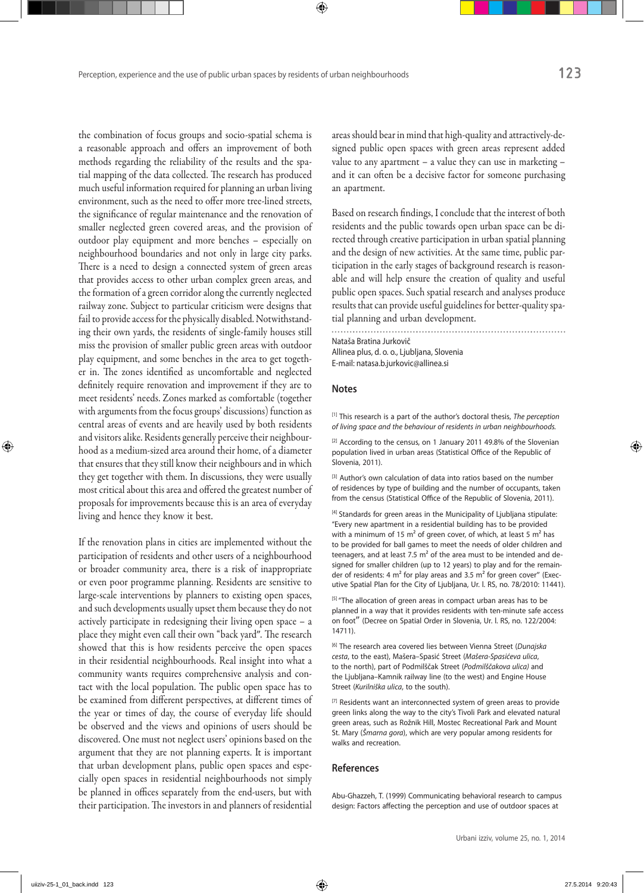the combination of focus groups and socio‑spatial schema is a reasonable approach and offers an improvement of both methods regarding the reliability of the results and the spatial mapping of the data collected. The research has produced much useful information required for planning an urban living areas should bear in mind that high-quality and attractively-designed public open spaces with green areas represent added value to any apartment – a value they can use in marketing – and it can often be a decisive factor for someone purchasing an apartment.

environment, such as the need to offer more tree-lined streets, the significance of regular maintenance and the renovation of smaller neglected green covered areas, and the provision of outdoor play equipment and more benches – especially on neighbourhood boundaries and not only in large city parks. There is a need to design a connected system of green areas that provides access to other urban complex green areas, and the formation of a green corridor along the currently neglected railway zone. Subject to particular criticism were designs that fail to provide access for the physically disabled. Notwithstanding their own yards, the residents of single-family houses still miss the provision of smaller public green areas with outdoor play equipment, and some benches in the area to get together in. The zones identified as uncomfortable and neglected definitely require renovation and improvement if they are to meet residents' needs. Zones marked as comfortable (together with arguments from the focus groups' discussions) function as central areas of events and are heavily used by both residents and visitors alike. Residents generally perceive their neighbourhood as a medium‑sized area around their home, of a diameter that ensures that they still know their neighbours and in which they get together with them. In discussions, they were usually most critical about this area and offered the greatest number of proposals for improvements because this is an area of everyday

If the renovation plans in cities are implemented without the participation of residents and other users of a neighbourhood or broader community area, there is a risk of inappropriate or even poor programme planning. Residents are sensitive to large-scale interventions by planners to existing open spaces, and such developments usually upset them because they do not actively participate in redesigning their living open space – a place they might even call their own "back yard". The research showed that this is how residents perceive the open spaces in their residential neighbourhoods. Real insight into what a community wants requires comprehensive analysis and contact with the local population. The public open space has to be examined from different perspectives, at different times of the year or times of day, the course of everyday life should be observed and the views and opinions of users should be discovered. One must not neglect users' opinions based on the argument that they are not planning experts. It is important that urban development plans, public open spaces and especially open spaces in residential neighbourhoods not simply be planned in offices separately from the end-users, but with their participation. The investors in and planners of residential

living and hence they know it best.

Based on research findings, I conclude that the interest of both residents and the public towards open urban space can be directed through creative participation in urban spatial planning and the design of new activities. At the same time, public participation in the early stages of background research is reasonable and will help ensure the creation of quality and useful public open spaces. Such spatial research and analyses produce results that can provide useful guidelines for better-quality spatial planning and urban development.

Nataša Bratina Jurkovič Allinea plus, d. o. o., Ljubljana, Slovenia E-mail: natasa.b.jurkovic@allinea.si

#### **Notes**

[1] This research is a part of the author's doctoral thesis, *The perception of living space and the behaviour of residents in urban neighbourhoods.*

[2] According to the census, on 1 January 2011 49.8% of the Slovenian population lived in urban areas (Statistical Office of the Republic of Slovenia, 2011).

[3] Author's own calculation of data into ratios based on the number of residences by type of building and the number of occupants, taken from the census (Statistical Office of the Republic of Slovenia, 2011).

[4] Standards for green areas in the Municipality of Ljubljana stipulate: "Every new apartment in a residential building has to be provided with a minimum of 15  $m^2$  of green cover, of which, at least 5  $m^2$  has to be provided for ball games to meet the needs of older children and teenagers, and at least  $7.5 \text{ m}^2$  of the area must to be intended and designed for smaller children (up to 12 years) to play and for the remainder of residents: 4 m<sup>2</sup> for play areas and 3.5 m<sup>2</sup> for green cover" (Executive Spatial Plan for the City of Ljubljana, Ur. l. RS, no. 78/2010: 11441).

[5] "The allocation of green areas in compact urban areas has to be planned in a way that it provides residents with ten-minute safe access on foot" (Decree on Spatial Order in Slovenia, Ur. l. RS, no. 122/2004: 14711).

[6] The research area covered lies between Vienna Street (*Dunajska cesta*, to the east), Mašera–Spasić Street (*Mašera‑Spasićeva ulica*, to the north), part of Podmilščak Street (*Podmilščakova ulica)* and the Ljubljana–Kamnik railway line (to the west) and Engine House Street (*Kurilniška ulica*, to the south).

[7] Residents want an interconnected system of green areas to provide green links along the way to the city's Tivoli Park and elevated natural green areas, such as Rožnik Hill, Mostec Recreational Park and Mount St. Mary (*Šmarna gora*), which are very popular among residents for walks and recreation.

#### **References**

Abu-Ghazzeh, T. (1999) Communicating behavioral research to campus design: Factors affecting the perception and use of outdoor spaces at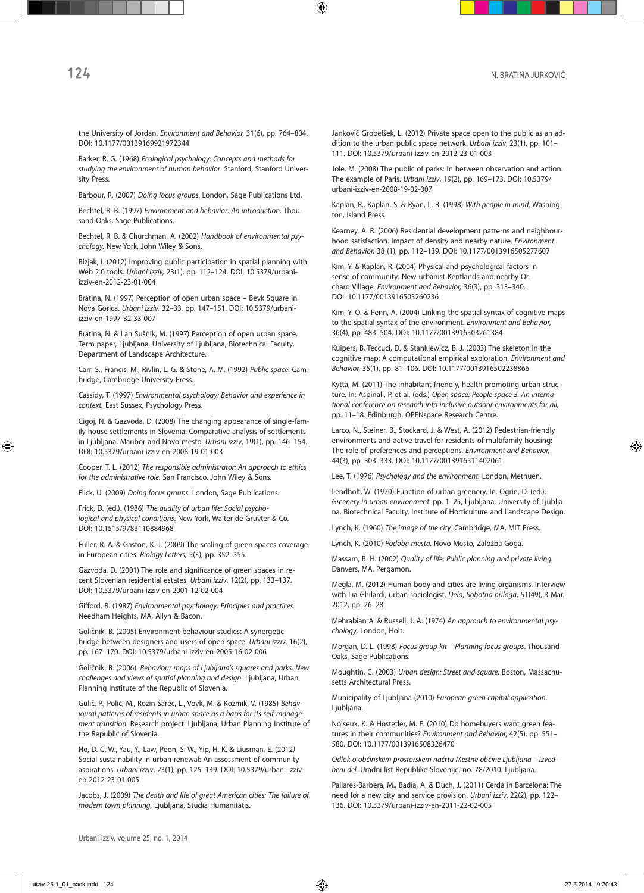the University of Jordan. *Environment and Behavior,* 31(6), pp. 764–804. DOI: 10.1177/00139169921972344

Barker, R. G. (1968) *Ecological psychology: Concepts and methods for studying the environment of human behavior*. Stanford, Stanford University Press.

Barbour, R. (2007) *Doing focus groups.* London, Sage Publications Ltd.

Bechtel, R. B. (1997) *Environment and behavior: An introduction*. Thousand Oaks, Sage Publications.

Bechtel, R. B. & Churchman, A. (2002) *Handbook of environmental psy‑ chology.* New York, John Wiley & Sons.

Bizjak, I. (2012) Improving public participation in spatial planning with Web 2.0 tools. *Urbani izziv,* 23(1), pp. 112–124. DOI: 10.5379/urbaniizziv-en-2012-23-01-004

Bratina, N. (1997) Perception of open urban space – Bevk Square in Nova Gorica. *Urbani izziv,* 32–33, pp. 147–151. DOI: 10.5379/urbaniizziv-en-1997-32-33-007

Bratina, N. & Lah Sušnik, M. (1997) Perception of open urban space. Term paper, Ljubljana, University of Ljubljana, Biotechnical Faculty, Department of Landscape Architecture.

Carr, S., Francis, M., Rivlin, L. G. & Stone, A. M. (1992) *Public space*. Cambridge, Cambridge University Press.

Cassidy, T. (1997) *Environmental psychology: Behavior and experience in context.* East Sussex, Psychology Press.

Cigoj, N. & Gazvoda, D. (2008) The changing appearance of single-family house settlements in Slovenia: Comparative analysis of settlements in Ljubljana, Maribor and Novo mesto. *Urbani izziv*, 19(1), pp. 146–154. DOI: 10.5379/urbani-izziv-en-2008-19-01-003

Cooper, T. L. (2012) *The responsible administrator: An approach to ethics for the administrative role.* San Francisco, John Wiley & Sons.

Flick, U. (2009) *Doing focus groups*. London, Sage Publications.

Frick, D. (ed.). (1986) *The quality of urban life: Social psycho‑ logical and physical conditions*. New York, Walter de Gruvter & Co. DOI: 10.1515/9783110884968

Fuller, R. A. & Gaston, K. J. (2009) The scaling of green spaces coverage in European cities. *Biology Letters,* 5(3), pp. 352–355.

Gazvoda, D. (2001) The role and significance of green spaces in recent Slovenian residential estates. *Urbani izziv*, 12(2), pp. 133–137. DOI: 10.5379/urbani-izziv-en-2001-12-02-004

Gifford, R. (1987) *Environmental psychology: Principles and practices.* Needham Heights, MA, Allyn & Bacon.

Goličnik, B. (2005) Environment-behaviour studies: A synergetic bridge between designers and users of open space. *Urbani izziv*, 16(2), pp. 167–170. DOI: 10.5379/urbani-izziv-en-2005-16-02-006

Goličnik, B. (2006): *Behaviour maps of Ljubljana's squares and parks: New challenges and views of spatial planning and design.* Ljubljana, Urban Planning Institute of the Republic of Slovenia.

Gulič, P., Polič, M., Rozin Šarec, L., Vovk, M. & Kozmik, V. (1985) *Behav‑ ioural patterns of residents in urban space as a basis for its self-manage‑ ment transition.* Research project. Ljubljana, Urban Planning Institute of the Republic of Slovenia.

Ho, D. C. W., Yau, Y., Law, Poon, S. W., Yip, H. K. & Liusman, E. (2012*)*  Social sustainability in urban renewal: An assessment of community aspirations. *Urbani izziv*, 23(1), pp. 125–139. DOI: 10.5379/urbani-izziven-2012-23-01-005

Jacobs, J. (2009) *The death and life of great American cities: The failure of modern town planning.* Ljubljana, Studia Humanitatis.

Jankovič Grobelšek, L. (2012) Private space open to the public as an addition to the urban public space network. *Urbani izziv*, 23(1), pp. 101– 111. DOI: 10.5379/urbani-izziv-en-2012-23-01-003

Jole, M. (2008) The public of parks: In between observation and action. The example of Paris. *Urbani izziv*, 19(2), pp. 169–173. DOI: 10.5379/ urbani-izziv-en-2008-19-02-007

Kaplan, R., Kaplan, S. & Ryan, L. R. (1998) *With people in mind*. Washington, Island Press.

Kearney, A. R. (2006) Residential development patterns and neighbourhood satisfaction. Impact of density and nearby nature. *Environment and Behavior,* 38 (1), pp. 112–139. DOI: 10.1177/0013916505277607

Kim, Y. & Kaplan, R. (2004) Physical and psychological factors in sense of community: New urbanist Kentlands and nearby Orchard Village. *Environment and Behavior,* 36(3), pp. 313–340. DOI: 10.1177/0013916503260236

Kim, Y. O. & Penn, A. (2004) Linking the spatial syntax of cognitive maps to the spatial syntax of the environment. *Environment and Behavior,*  36(4), pp. 483–504. DOI: 10.1177/0013916503261384

Kuipers, B, Teccuci, D. & Stankiewicz, B. J. (2003) The skeleton in the cognitive map: A computational empirical exploration. *Environment and Behavior,* 35(1), pp. 81–106. DOI: 10.1177/0013916502238866

Kyttä, M. (2011) The inhabitant-friendly, health promoting urban structure*.* In: Aspinall, P. et al. (eds.) *Open space: People space 3. An interna‑ tional conference on research into inclusive outdoor environments for all,*  pp. 11–18. Edinburgh, OPENspace Research Centre.

Larco, N., Steiner, B., Stockard, J. & West, A. (2012) Pedestrian-friendly environments and active travel for residents of multifamily housing: The role of preferences and perceptions. *Environment and Behavior,*  44(3), pp. 303–333. DOI: 10.1177/0013916511402061

Lee, T. (1976) *Psychology and the environment.* London, Methuen.

Lendholt, W. (1970) Function of urban greenery. In: Ogrin, D. (ed.): *Greenery in urban environment.* pp. 1–25, Ljubljana, University of Ljubljana, Biotechnical Faculty, Institute of Horticulture and Landscape Design.

Lynch, K. (1960) *The image of the city.* Cambridge, MA, MIT Press.

Lynch, K. (2010) *Podoba mesta.* Novo Mesto, Založba Goga.

Massam, B. H. (2002) *Quality of life: Public planning and private living*. Danvers, MA, Pergamon.

Megla, M. (2012) Human body and cities are living organisms. Interview with Lia Ghilardi, urban sociologist. *Delo*, *Sobotna priloga*, 51(49), 3 Mar. 2012, pp. 26–28.

Mehrabian A. & Russell, J. A. (1974) *An approach to environmental psy‑ chology*. London, Holt.

Morgan, D. L. (1998) *Focus group kit – Planning focus groups*. Thousand Oaks, Sage Publications.

Moughtin, C. (2003) *Urban design: Street and square.* Boston, Massachusetts Architectural Press.

Municipality of Ljubljana (2010) *European green capital application*. Ljubljana.

Noiseux, K. & Hostetler, M. E. (2010) Do homebuyers want green features in their communities? *Environment and Behavior,* 42(5), pp. 551– 580. DOI: 10.1177/0013916508326470

*Odlok o občinskem prostorskem načrtu Mestne občine Ljubljana – izved‑ beni del.* Uradni list Republike Slovenije, no. 78/2010. Ljubljana.

Pallares-Barbera, M., Badia, A. & Duch, J. (2011) Cerdà in Barcelona: The need for a new city and service provision. *Urbani izziv*, 22(2), pp. 122– 136. DOI: 10.5379/urbani-izziv-en-2011-22-02-005